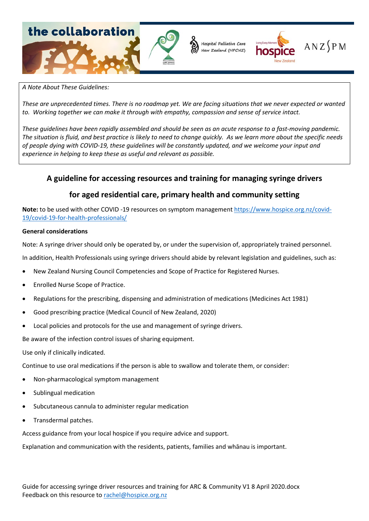

#### *A Note About These Guidelines:*

*These are unprecedented times. There is no roadmap yet. We are facing situations that we never expected or wanted to. Working together we can make it through with empathy, compassion and sense of service intact.*

*These guidelines have been rapidly assembled and should be seen as an acute response to a fast-moving pandemic. The situation is fluid, and best practice is likely to need to change quickly. As we learn more about the specific needs of people dying with COVID-19, these guidelines will be constantly updated, and we welcome your input and experience in helping to keep these as useful and relevant as possible.* 

# **A guideline for accessing resources and training for managing syringe drivers**

# **for aged residential care, primary health and community setting**

**Note:** to be used with other COVID -19 resources on symptom management [https://www.hospice.org.nz/covid-](https://www.hospice.org.nz/covid-19/covid-19-for-health-professionals/)[19/covid-19-for-health-professionals/](https://www.hospice.org.nz/covid-19/covid-19-for-health-professionals/)

#### **General considerations**

Note: A syringe driver should only be operated by, or under the supervision of, appropriately trained personnel.

In addition, Health Professionals using syringe drivers should abide by relevant legislation and guidelines, such as:

- New Zealand Nursing Council Competencies and Scope of Practice for Registered Nurses.
- Enrolled Nurse Scope of Practice.
- Regulations for the prescribing, dispensing and administration of medications (Medicines Act 1981)
- Good prescribing practice (Medical Council of New Zealand, 2020)
- Local policies and protocols for the use and management of syringe drivers.

Be aware of the infection control issues of sharing equipment.

Use only if clinically indicated.

Continue to use oral medications if the person is able to swallow and tolerate them, or consider:

- Non-pharmacological symptom management
- Sublingual medication
- Subcutaneous cannula to administer regular medication
- Transdermal patches.

Access guidance from your local hospice if you require advice and support.

Explanation and communication with the residents, patients, families and whānau is important.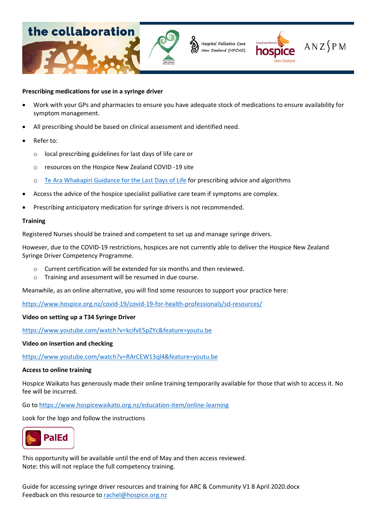

### **Prescribing medications for use in a syringe driver**

- Work with your GPs and pharmacies to ensure you have adequate stock of medications to ensure availability for symptom management.
- All prescribing should be based on clinical assessment and identified need.
- Refer to:
	- o local prescribing guidelines for last days of life care or
	- o resources on the Hospice New Zealand COVID -19 site
	- o [Te Ara Whakapiri Guidance for the Last Days of Life](https://www.health.govt.nz/publication/te-ara-whakapiri-principles-and-guidance-last-days-life) for prescribing advice and algorithms
- Access the advice of the hospice specialist palliative care team if symptoms are complex.
- Prescribing anticipatory medication for syringe drivers is not recommended.

### **Training**

Registered Nurses should be trained and competent to set up and manage syringe drivers.

However, due to the COVID-19 restrictions, hospices are not currently able to deliver the Hospice New Zealand Syringe Driver Competency Programme.

- $\circ$  Current certification will be extended for six months and then reviewed.
- o Training and assessment will be resumed in due course.

Meanwhile, as an online alternative, you will find some resources to support your practice here:

<https://www.hospice.org.nz/covid-19/covid-19-for-health-professionals/sd-resources/>

### **Video on setting up a T34 Syringe Driver**

<https://www.youtube.com/watch?v=kcifvE5pZYc&feature=youtu.be>

### **Video on insertion and checking**

<https://www.youtube.com/watch?v=RArCEW13ql4&feature=youtu.be>

### **Access to online training**

Hospice Waikato has generously made their online training temporarily available for those that wish to access it. No fee will be incurred.

Go to<https://www.hospicewaikato.org.nz/education-item/online-learning>

Look for the logo and follow the instructions



This opportunity will be available until the end of May and then access reviewed. Note: this will not replace the full competency training.

Guide for accessing syringe driver resources and training for ARC & Community V1 8 April 2020.docx Feedback on this resource to [rachel@hospice.org.nz](mailto:rachel@hospice.org.nz)